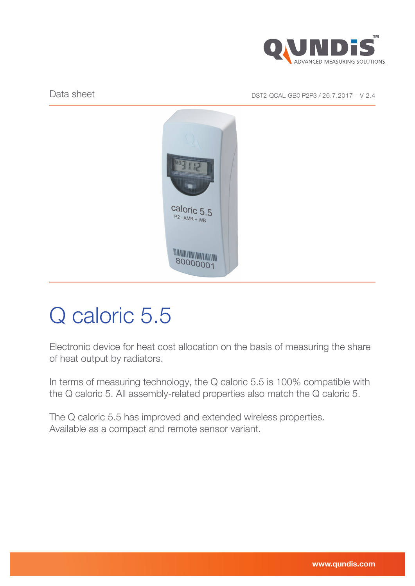

Data sheet Data sheet Data sheet Data sheet Data Sheet DST2-QCAL-GB0 P2P3 / 26.7.2017 - V 2.4



# Q caloric 5.5

Electronic device for heat cost allocation on the basis of measuring the share of heat output by radiators.

In terms of measuring technology, the Q caloric 5.5 is 100% compatible with the Q caloric 5. All assembly-related properties also match the Q caloric 5.

The Q caloric 5.5 has improved and extended wireless properties. Available as a compact and remote sensor variant.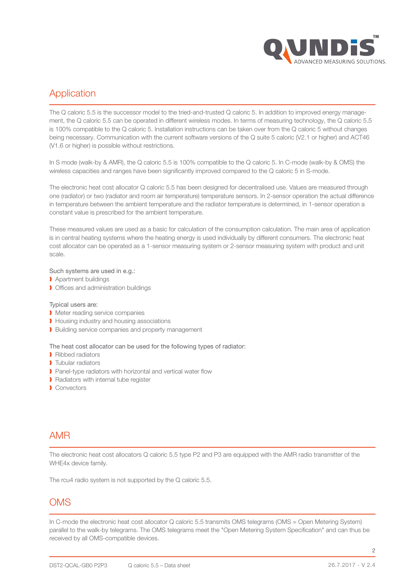

## Application

The Q caloric 5.5 is the successor model to the tried-and-trusted Q caloric 5. In addition to improved energy management, the Q caloric 5.5 can be operated in different wireless modes. In terms of measuring technology, the Q caloric 5.5 is 100% compatible to the Q caloric 5. Installation instructions can be taken over from the Q caloric 5 without changes being necessary. Communication with the current software versions of the Q suite 5 caloric (V2.1 or higher) and ACT46 (V1.6 or higher) is possible without restrictions.

In S mode (walk-by & AMR), the Q caloric 5.5 is 100% compatible to the Q caloric 5. In C-mode (walk-by & OMS) the wireless capacities and ranges have been significantly improved compared to the Q caloric 5 in S-mode.

The electronic heat cost allocator Q caloric 5.5 has been designed for decentralised use. Values are measured through one (radiator) or two (radiator and room air temperature) temperature sensors. In 2-sensor operation the actual difference in temperature between the ambient temperature and the radiator temperature is determined, in 1-sensor operation a constant value is prescribed for the ambient temperature.

These measured values are used as a basic for calculation of the consumption calculation. The main area of application is in central heating systems where the heating energy is used individually by different consumers. The electronic heat cost allocator can be operated as a 1-sensor measuring system or 2-sensor measuring system with product and unit scale.

#### Such systems are used in e.g.:

- ❱ Apartment buildings
- **I** Offices and administration buildings

#### Typical users are:

- **I** Meter reading service companies
- **I** Housing industry and housing associations
- ▶ Building service companies and property management

#### The heat cost allocator can be used for the following types of radiator:

- ❱ Ribbed radiators
- **I** Tubular radiators
- Panel-type radiators with horizontal and vertical water flow
- ❱ Radiators with internal tube register
- ❱ Convectors

#### AMR

The electronic heat cost allocators Q caloric 5.5 type P2 and P3 are equipped with the AMR radio transmitter of the WHE4x device family.

The rcu4 radio system is not supported by the Q caloric 5.5.

## **OMS**

In C-mode the electronic heat cost allocator Q caloric 5.5 transmits OMS telegrams (OMS = Open Metering System) parallel to the walk-by telegrams. The OMS telegrams meet the "Open Metering System Specification" and can thus be received by all OMS-compatible devices.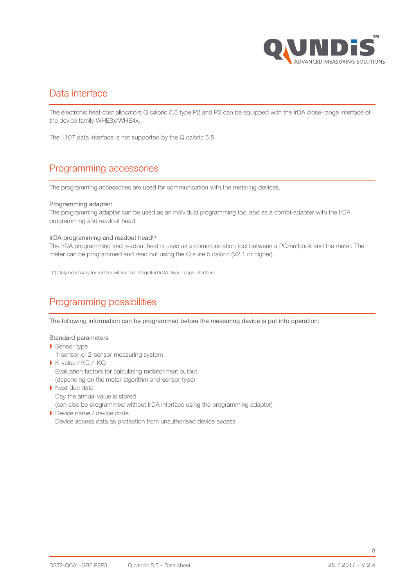

### Data interface

The electronic heat cost allocators Q caloric 5.5 type P2 and P3 can be equipped with the IrDA close-range interface of the device family WHE3x/WHE4x.

The 1107 data interface is not supported by the Q caloric 5.5.

## Programming accessories

The programming accessories are used for communication with the metering devices.

#### Programming adapter:

The programming adapter can be used as an individual programming tool and as a combi-adapter with the IrDA programming and readout head.

#### IrDA programming and readout head(\*):

The IrDA programming and readout heat is used as a communication tool between a PC/netbook and the meter. The meter can be programmed and read out using the Q suite 5 caloric (V2.1 or higher).

(\*) Only necessary for meters without an integrated IrDA close-range interface.

# Programming possibilities

The following information can be programmed before the measuring device is put into operation:

#### Standard parameters

- **Sensor type** 
	- 1-sensor or 2-sensor measuring system
- ❱ K-value / KC / KQ Evaluation factors for calculating radiator heat output (depending on the meter algorithm and sensor type) **Next due date** 
	- Day the annual value is stored

(can also be programmed without IrDA interface using the programming adapter)

**Device name / device code** Device access data as protection from unauthorised device access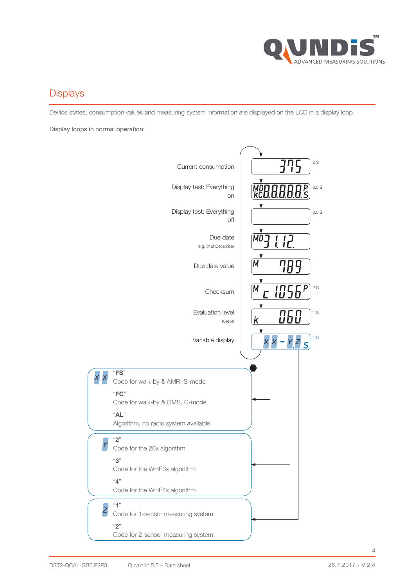

## **Displays**

Device states, consumption values and measuring system information are displayed on the LCD in a display loop.

Display loops in normal operation:

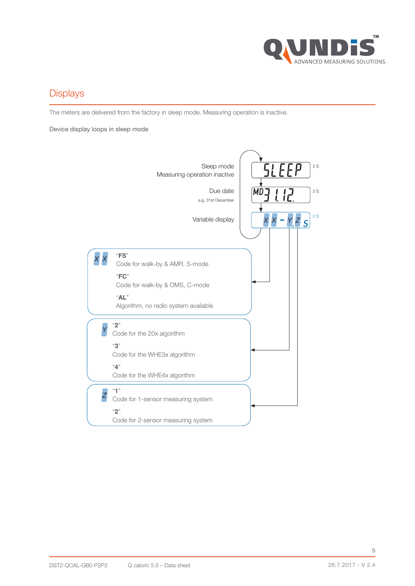

## **Displays**

The meters are delivered from the factory in sleep mode. Measuring operation is inactive.

Device display loops in sleep mode

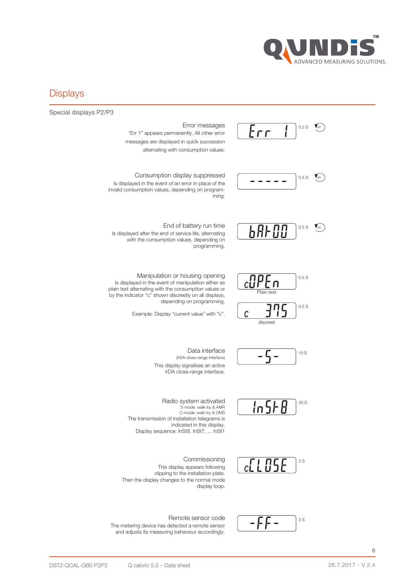

#### **Displays**

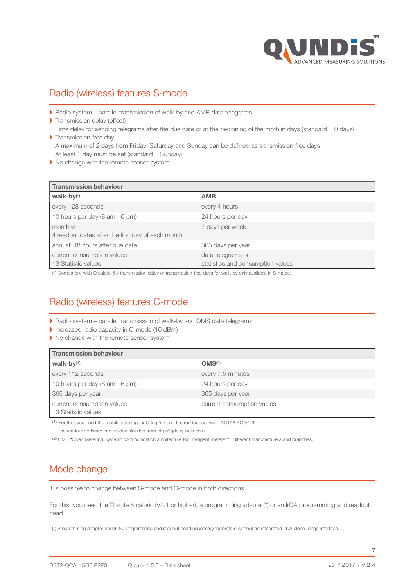

## Radio (wireless) features S-mode

■ Radio system – parallel transmission of walk-by and AMR data telegrams

**Transmission delay (offset)** Time delay for sending telegrams after the due date or at the beginning of the moth in days (standard = 0 days) **I** Transmission-free day

A maximum of 2 days from Friday, Saturday and Sunday can be defined as transmission-free days At least 1 day must be set (standard = Sunday).

 $\blacktriangleright$  No change with the remote sensor system

| <b>Transmission behaviour</b>                     |                                   |  |
|---------------------------------------------------|-----------------------------------|--|
| $walk-by(*)$                                      | <b>AMR</b>                        |  |
| every 128 seconds                                 | every 4 hours                     |  |
| 10 hours per day (8 am - 6 pm)                    | 24 hours per day                  |  |
| monthly:                                          | 7 days per week                   |  |
| 4 readout dates after the first day of each month |                                   |  |
| annual: 48 hours after due date                   | 365 days per year                 |  |
| current consumption values                        | data telegrams or                 |  |
| 13 Statistic values                               | statistics and consumption values |  |

(\*) Compatible with Q caloric 5 / transmission delay or transmission-free days for walk-by only available in S-mode.

# Radio (wireless) features C-mode

- Radio system parallel transmission of walk-by and OMS data telegrams
- ❱ Increased radio capacity in C-mode (10 dBm)
- I No change with the remote sensor system

| <b>Transmission behaviour</b>                     |                            |  |
|---------------------------------------------------|----------------------------|--|
| walk-by $(1)$                                     | OMS <sup>(2)</sup>         |  |
| every 112 seconds                                 | every 7.5 minutes          |  |
| 10 hours per day (8 am - 6 pm)                    | 24 hours per day           |  |
| 365 days per year                                 | 365 days per year          |  |
| current consumption values<br>13 Statistic values | current consumption values |  |

(1) For this, you need the mobile data logger Q log 5.5 and the readout software ACT46.PC V1.6.

The readout software can be downloaded from http://qdc.qundis.com.

(2) OMS "Open Metering System" communication architecture for intelligent meters for different manufacturers and branches.

## Mode change

It is possible to change between S-mode and C-mode in both directions.

For this, you need the Q suite 5 caloric (V2.1 or higher), a programming adapter(\*) or an IrDA programming and readout head.

(\*) Programming adapter and IrDA programming and readout head necessary for meters without an integrated IrDA close-range interface.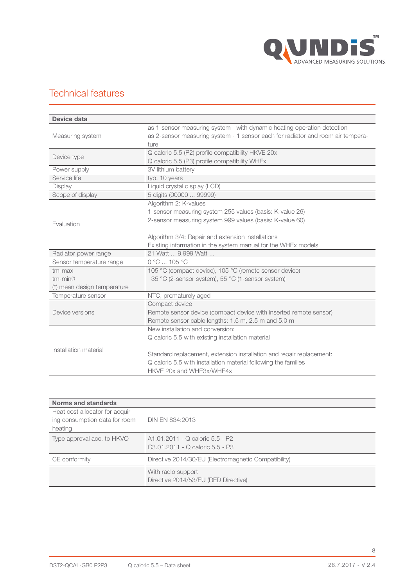

# Technical features

| Device data                 |                                                                                 |  |
|-----------------------------|---------------------------------------------------------------------------------|--|
|                             | as 1-sensor measuring system - with dynamic heating operation detection         |  |
| Measuring system            | as 2-sensor measuring system - 1 sensor each for radiator and room air tempera- |  |
|                             | ture                                                                            |  |
| Device type                 | Q caloric 5.5 (P2) profile compatibility HKVE 20x                               |  |
|                             | Q caloric 5.5 (P3) profile compatibility WHEx                                   |  |
| Power supply                | 3V lithium battery                                                              |  |
| Service life                | typ. 10 years                                                                   |  |
| <b>Display</b>              | Liquid crystal display (LCD)                                                    |  |
| Scope of display            | 5 digits (00000  99999)                                                         |  |
| Evaluation                  | Algorithm 2: K-values                                                           |  |
|                             | 1-sensor measuring system 255 values (basis: K-value 26)                        |  |
|                             | 2-sensor measuring system 999 values (basis: K-value 60)                        |  |
|                             |                                                                                 |  |
|                             | Algorithm 3/4: Repair and extension installations                               |  |
|                             | Existing information in the system manual for the WHEx models                   |  |
| Radiator power range        | 21 Watt  9,999 Watt                                                             |  |
| Sensor temperature range    | 0 °C  105 °C                                                                    |  |
| tm-max                      | 105 °C (compact device), 105 °C (remote sensor device)                          |  |
| $tm - min(*)$               | 35 °C (2-sensor system), 55 °C (1-sensor system)                                |  |
| (*) mean design temperature |                                                                                 |  |
| Temperature sensor          | NTC, prematurely aged                                                           |  |
| Device versions             | Compact device                                                                  |  |
|                             | Remote sensor device (compact device with inserted remote sensor)               |  |
|                             | Remote sensor cable lengths: 1.5 m, 2.5 m and 5.0 m                             |  |
|                             | New installation and conversion:                                                |  |
|                             | Q caloric 5.5 with existing installation material                               |  |
| Installation material       |                                                                                 |  |
|                             | Standard replacement, extension installation and repair replacement:            |  |
|                             | Q caloric 5.5 with installation material following the families                 |  |
|                             | HKVE 20x and WHE3x/WHE4x                                                        |  |

| Norms and standards             |                                                            |  |
|---------------------------------|------------------------------------------------------------|--|
| Heat cost allocator for acquir- |                                                            |  |
| ing consumption data for room   | DIN EN 834:2013                                            |  |
| heating                         |                                                            |  |
| Type approval acc. to HKVO      | A1.01.2011 - Q caloric 5.5 - P2                            |  |
|                                 | C3.01.2011 - Q caloric 5.5 - P3                            |  |
| CE conformity                   | Directive 2014/30/EU (Electromagnetic Compatibility)       |  |
|                                 | With radio support<br>Directive 2014/53/EU (RED Directive) |  |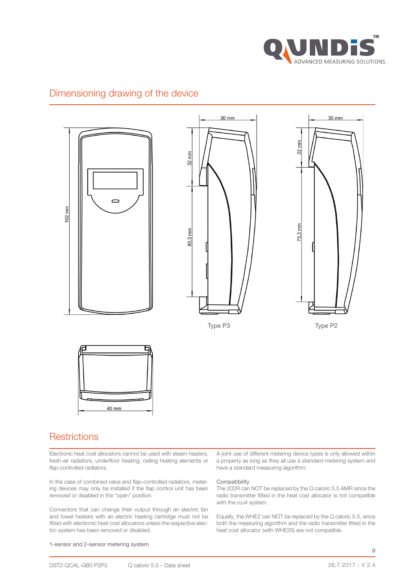

## Dimensioning drawing of the device



#### **Restrictions**

Electronic heat cost allocators cannot be used with steam heaters, fresh-air radiators, underfloor heating, ceiling heating elements or flap-controlled radiators.

In the case of combined valve and flap-controlled radiators, metering devices may only be installed if the flap control unit has been removed or disabled in the "open" position.

Convectors that can change their output through an electric fan and towel heaters with an electric heating cartridge must not be fitted with electronic heat cost allocators unless the respective electric system has been removed or disabled.

A joint use of different metering device types is only allowed within a property as long as they all use a standard metering system and have a standard measuring algorithm.

#### **Compatibility**

The 202R can NOT be replaced by the Q caloric 5.5 AMR since the radio transmitter fitted in the heat cost allocator is not compatible with the rcu4 system.

Equally, the WHE2 can NOT be replaced by the Q caloric 5.5, since both the measuring algorithm and the radio transmitter fitted in the heat cost allocator (with WHE26) are not compatible.

#### 1-sensor and 2-sensor metering system